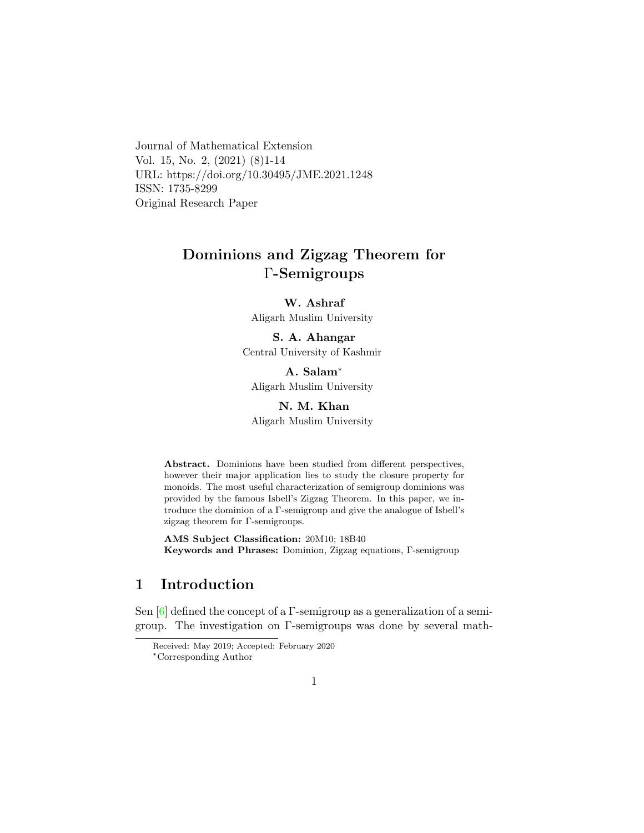Journal of Mathematical Extension Vol. 15, No. 2, (2021) (8)1-14 URL: https://doi.org/10.30495/JME.2021.1248 ISSN: 1735-8299 Original Research Paper

# Dominions and Zigzag Theorem for Γ-Semigroups

W. Ashraf

Aligarh Muslim University

# S. A. Ahangar

Central University of Kashmir

A. Salam[∗](#page-0-0) Aligarh Muslim University

### N. M. Khan

Aligarh Muslim University

Abstract. Dominions have been studied from different perspectives, however their major application lies to study the closure property for monoids. The most useful characterization of semigroup dominions was provided by the famous Isbell's Zigzag Theorem. In this paper, we introduce the dominion of a Γ-semigroup and give the analogue of Isbell's zigzag theorem for Γ-semigroups.

AMS Subject Classification: 20M10; 18B40 Keywords and Phrases: Dominion, Zigzag equations, Γ-semigroup

## 1 Introduction

Sen  $[6]$  defined the concept of a Γ-semigroup as a generalization of a semigroup. The investigation on Γ-semigroups was done by several math-

Received: May 2019; Accepted: February 2020

<span id="page-0-0"></span><sup>∗</sup>Corresponding Author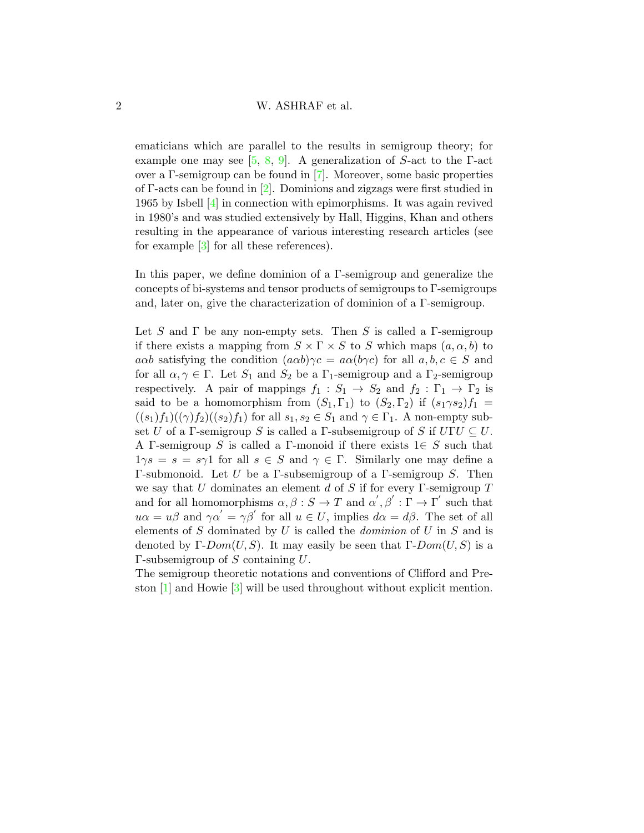### 2 W. ASHRAF et al.

ematicians which are parallel to the results in semigroup theory; for example one may see  $[5, 8, 9]$  $[5, 8, 9]$  $[5, 8, 9]$  $[5, 8, 9]$ . A generalization of S-act to the  $\Gamma$ -act over a Γ-semigroup can be found in [\[7\]](#page-12-4). Moreover, some basic properties of Γ-acts can be found in [\[2\]](#page-11-0). Dominions and zigzags were first studied in 1965 by Isbell [\[4\]](#page-11-1) in connection with epimorphisms. It was again revived in 1980's and was studied extensively by Hall, Higgins, Khan and others resulting in the appearance of various interesting research articles (see for example [\[3\]](#page-11-2) for all these references).

In this paper, we define dominion of a Γ-semigroup and generalize the concepts of bi-systems and tensor products of semigroups to Γ-semigroups and, later on, give the characterization of dominion of a Γ-semigroup.

Let S and  $\Gamma$  be any non-empty sets. Then S is called a  $\Gamma$ -semigroup if there exists a mapping from  $S \times \Gamma \times S$  to S which maps  $(a, \alpha, b)$  to aαb satisfying the condition  $(a\alpha b)\gamma c = a\alpha (b\gamma c)$  for all  $a, b, c \in S$  and for all  $\alpha, \gamma \in \Gamma$ . Let  $S_1$  and  $S_2$  be a  $\Gamma_1$ -semigroup and a  $\Gamma_2$ -semigroup respectively. A pair of mappings  $f_1 : S_1 \to S_2$  and  $f_2 : \Gamma_1 \to \Gamma_2$  is said to be a homomorphism from  $(S_1, \Gamma_1)$  to  $(S_2, \Gamma_2)$  if  $(s_1 \gamma s_2) f_1 =$  $((s_1)f_1)((\gamma)f_2)((s_2)f_1)$  for all  $s_1, s_2 \in S_1$  and  $\gamma \in \Gamma_1$ . A non-empty subset U of a Γ-semigroup S is called a Γ-subsemigroup of S if  $UTU \subseteq U$ . A Γ-semigroup S is called a Γ-monoid if there exists  $1 \in S$  such that  $1\gamma s = s = s\gamma 1$  for all  $s \in S$  and  $\gamma \in \Gamma$ . Similarly one may define a Γ-submonoid. Let U be a Γ-subsemigroup of a Γ-semigroup S. Then we say that  $U$  dominates an element  $d$  of  $S$  if for every  $\Gamma$ -semigroup  $T$ and for all homomorphisms  $\alpha, \beta : S \to T$  and  $\alpha', \beta' : \Gamma \to \Gamma'$  such that  $u\alpha = u\beta$  and  $\gamma \alpha' = \gamma \beta'$  for all  $u \in U$ , implies  $d\alpha = d\beta$ . The set of all elements of  $S$  dominated by  $U$  is called the *dominion* of  $U$  in  $S$  and is denoted by  $\Gamma\text{-}Dom(U, S)$ . It may easily be seen that  $\Gamma\text{-}Dom(U, S)$  is a Γ-subsemigroup of S containing  $U$ .

The semigroup theoretic notations and conventions of Clifford and Preston [\[1\]](#page-11-3) and Howie [\[3\]](#page-11-2) will be used throughout without explicit mention.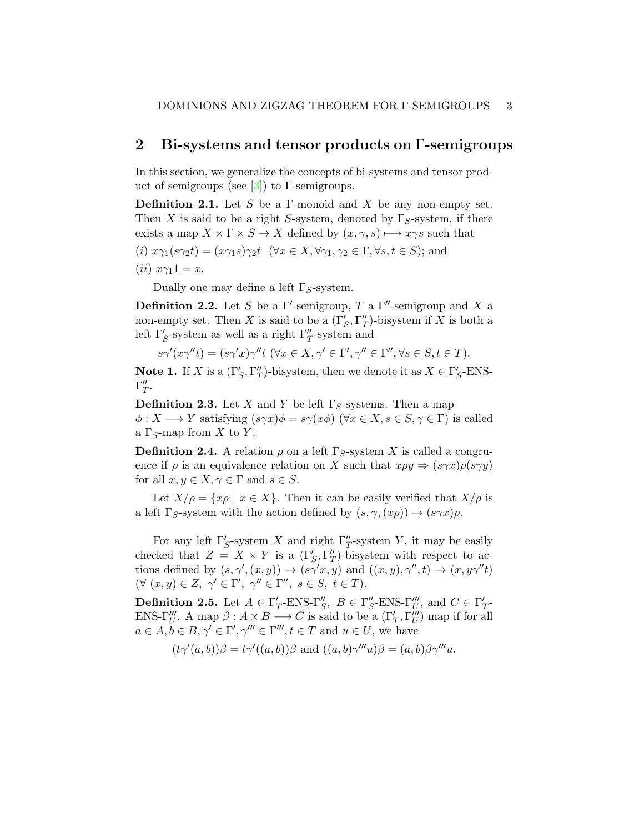### 2 Bi-systems and tensor products on Γ-semigroups

In this section, we generalize the concepts of bi-systems and tensor product of semigroups (see  $[3]$ ) to Γ-semigroups.

**Definition 2.1.** Let S be a Γ-monoid and X be any non-empty set. Then X is said to be a right S-system, denoted by  $\Gamma_S$ -system, if there exists a map  $X \times \Gamma \times S \to X$  defined by  $(x, \gamma, s) \mapsto x \gamma s$  such that

(i) 
$$
x\gamma_1(s\gamma_2 t) = (x\gamma_1 s)\gamma_2 t \quad (\forall x \in X, \forall \gamma_1, \gamma_2 \in \Gamma, \forall s, t \in S)
$$
; and

$$
(ii) x\gamma_1 1 = x.
$$

Dually one may define a left  $\Gamma_S$ -system.

**Definition 2.2.** Let S be a  $\Gamma'$ -semigroup, T a  $\Gamma''$ -semigroup and X a non-empty set. Then X is said to be a  $(\Gamma_S', \Gamma_T'')$ -bisystem if X is both a left  $\Gamma_S'$ -system as well as a right  $\Gamma_T''$ -system and

$$
s\gamma'(x\gamma''t) = (s\gamma'x)\gamma''t \; (\forall x \in X, \gamma' \in \Gamma', \gamma'' \in \Gamma'', \forall s \in S, t \in T).
$$

**Note 1.** If X is a  $(\Gamma'_S, \Gamma''_T)$ -bisystem, then we denote it as  $X \in \Gamma'_S$ -ENS- $\Gamma''_T.$ 

**Definition 2.3.** Let X and Y be left  $\Gamma_S$ -systems. Then a map  $\phi: X \longrightarrow Y$  satisfying  $(s\gamma x)\phi = s\gamma(x\phi)$   $(\forall x \in X, s \in S, \gamma \in \Gamma)$  is called a  $\Gamma_S$ -map from X to Y.

**Definition 2.4.** A relation  $\rho$  on a left  $\Gamma_S$ -system X is called a congruence if  $\rho$  is an equivalence relation on X such that  $x\rho y \Rightarrow (s\gamma x)\rho(s\gamma y)$ for all  $x, y \in X, \gamma \in \Gamma$  and  $s \in S$ .

Let  $X/\rho = \{x\rho \mid x \in X\}$ . Then it can be easily verified that  $X/\rho$  is a left  $\Gamma_S$ -system with the action defined by  $(s, \gamma, (x\rho)) \rightarrow (s\gamma x)\rho$ .

For any left  $\Gamma'_S$ -system X and right  $\Gamma''_T$ -system Y, it may be easily checked that  $Z = X \times Y$  is a  $(\Gamma_S', \Gamma_T'')$ -bisystem with respect to actions defined by  $(s, \gamma', (x, y)) \to (s\gamma' x, y)$  and  $((x, y), \gamma'', t) \to (x, y\gamma''t)$  $(\forall (x, y) \in Z, \ \gamma' \in \Gamma', \ \gamma'' \in \Gamma'', \ s \in S, \ t \in T).$ 

**Definition 2.5.** Let  $A \in \Gamma'_T$ -ENS- $\Gamma''_S$ ,  $B \in \Gamma''_S$ -ENS- $\Gamma'''_U$ , and  $C \in \Gamma'_T$ -ENS- $\Gamma'''_U$ . A map  $\beta: A \times B \longrightarrow C$  is said to be a  $(\Gamma'_T, \Gamma'''_U)$  map if for all  $a \in A, b \in B, \gamma' \in \Gamma', \gamma''' \in \Gamma''', t \in T$  and  $u \in U$ , we have

$$
(t\gamma'(a,b))\beta = t\gamma'((a,b))\beta
$$
 and  $((a,b)\gamma'''u)\beta = (a,b)\beta\gamma'''u$ .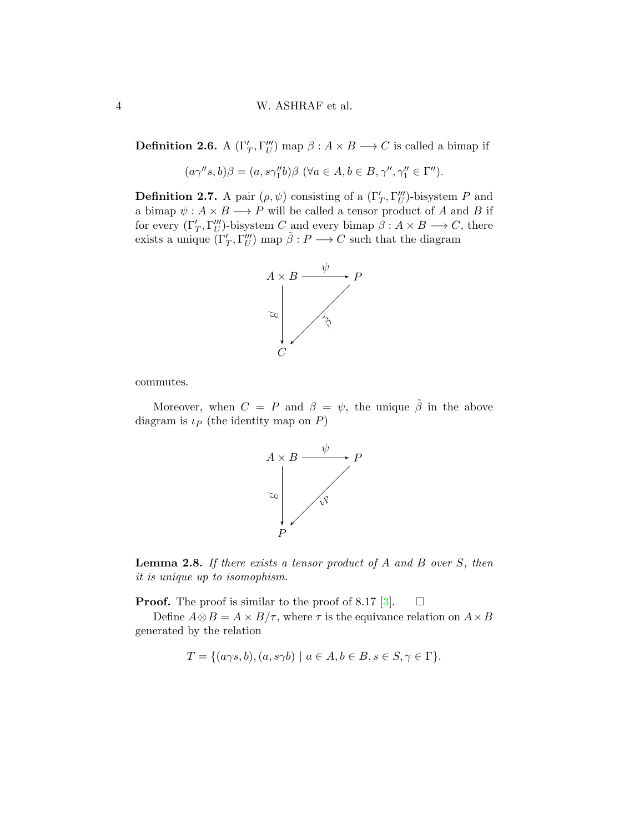**Definition 2.6.** A  $(\Gamma'_T, \Gamma''_U)$  map  $\beta: A \times B \longrightarrow C$  is called a bimap if

$$
(a\gamma''s,b)\beta = (a,s\gamma''_1b)\beta \; (\forall a \in A, b \in B, \gamma'', \gamma''_1 \in \Gamma'').
$$

**Definition 2.7.** A pair  $(\rho, \psi)$  consisting of a  $(\Gamma'_T, \Gamma''_U)$ -bisystem P and a bimap  $\psi: A \times B \longrightarrow P$  will be called a tensor product of A and B if for every  $(\Gamma'_T, \Gamma'''_U)$ -bisystem C and every bimap  $\beta: A \times B \longrightarrow C$ , there exists a unique  $(\Gamma'_T, \Gamma'''_U)$  map  $\tilde{\beta}: P \longrightarrow C$  such that the diagram



commutes.

Moreover, when  $C = P$  and  $\beta = \psi$ , the unique  $\tilde{\beta}$  in the above diagram is  $\iota_P$  (the identity map on P)



**Lemma 2.8.** If there exists a tensor product of  $A$  and  $B$  over  $S$ , then it is unique up to isomophism.

**Proof.** The proof is similar to the proof of 8.17 [\[3\]](#page-11-2).  $\Box$ 

Define  $A \otimes B = A \times B/\tau$ , where  $\tau$  is the equivance relation on  $A \times B$ generated by the relation

$$
T = \{ (a\gamma s, b), (a, s\gamma b) \mid a \in A, b \in B, s \in S, \gamma \in \Gamma \}.
$$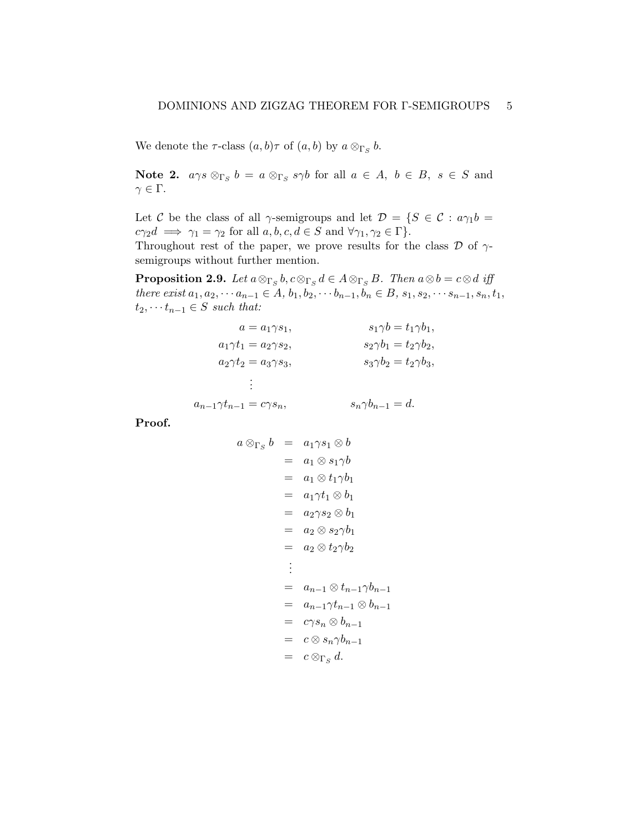We denote the  $\tau$ -class  $(a, b)\tau$  of  $(a, b)$  by  $a \otimes_{\Gamma_S} b$ .

**Note 2.**  $a\gamma s \otimes_{\Gamma_S} b = a \otimes_{\Gamma_S} s\gamma b$  for all  $a \in A, b \in B, s \in S$  and  $\gamma \in \Gamma$ .

Let C be the class of all  $\gamma$ -semigroups and let  $\mathcal{D} = \{S \in \mathcal{C} : a\gamma_1 b =$  $c\gamma_2d \implies \gamma_1 = \gamma_2$  for all  $a, b, c, d \in S$  and  $\forall \gamma_1, \gamma_2 \in \Gamma$ . Throughout rest of the paper, we prove results for the class  $\mathcal D$  of  $\gamma$ semigroups without further mention.

<span id="page-4-0"></span>**Proposition 2.9.** Let  $a \otimes_{\Gamma_S} b, c \otimes_{\Gamma_S} d \in A \otimes_{\Gamma_S} B$ . Then  $a \otimes b = c \otimes d$  iff there exist  $a_1, a_2, \dots a_{n-1} \in A$ ,  $b_1, b_2, \dots b_{n-1}, b_n \in B$ ,  $s_1, s_2, \dots s_{n-1}, s_n, t_1$ ,  $t_2, \cdots t_{n-1} \in S$  such that:

$$
a = a_1 \gamma s_1,
$$
  
\n
$$
s_1 \gamma b = t_1 \gamma b_1,
$$
  
\n
$$
a_1 \gamma t_1 = a_2 \gamma s_2,
$$
  
\n
$$
s_2 \gamma b_1 = t_2 \gamma b_2,
$$
  
\n
$$
s_2 \gamma b_1 = t_2 \gamma b_2,
$$
  
\n
$$
s_3 \gamma b_2 = t_2 \gamma b_3,
$$
  
\n
$$
\vdots
$$
  
\n
$$
a_{n-1} \gamma t_{n-1} = c \gamma s_n,
$$
  
\n
$$
s_n \gamma b_{n-1} = d.
$$

Proof.

$$
a \otimes_{\Gamma_S} b = a_1 \gamma s_1 \otimes b
$$
  
\n
$$
= a_1 \otimes s_1 \gamma b
$$
  
\n
$$
= a_1 \otimes t_1 \gamma b_1
$$
  
\n
$$
= a_1 \gamma t_1 \otimes b_1
$$
  
\n
$$
= a_2 \gamma s_2 \otimes b_1
$$
  
\n
$$
= a_2 \otimes s_2 \gamma b_1
$$
  
\n
$$
= a_2 \otimes t_2 \gamma b_2
$$
  
\n:  
\n
$$
= a_{n-1} \otimes t_{n-1} \gamma b_{n-1}
$$
  
\n
$$
= a_{n-1} \gamma t_{n-1} \otimes b_{n-1}
$$
  
\n
$$
= c \gamma s_n \otimes b_{n-1}
$$
  
\n
$$
= c \otimes s_n \gamma b_{n-1}
$$
  
\n
$$
= c \otimes_{\Gamma_S} d.
$$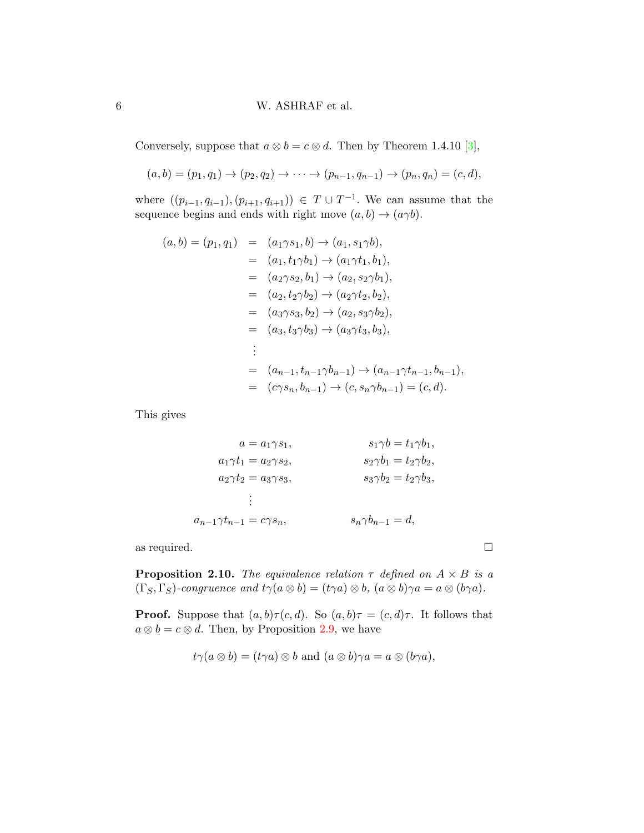### 6 W. ASHRAF et al.

Conversely, suppose that  $a \otimes b = c \otimes d$ . Then by Theorem 1.4.10 [\[3\]](#page-11-2),

 $(a, b) = (p_1, q_1) \rightarrow (p_2, q_2) \rightarrow \cdots \rightarrow (p_{n-1}, q_{n-1}) \rightarrow (p_n, q_n) = (c, d),$ 

where  $((p_{i-1}, q_{i-1}), (p_{i+1}, q_{i+1})) \in T \cup T^{-1}$ . We can assume that the sequence begins and ends with right move  $(a, b) \rightarrow (a\gamma b)$ .

$$
(a,b) = (p_1, q_1) = (a_1 \gamma s_1, b) \rightarrow (a_1, s_1 \gamma b),
$$
  
\n
$$
= (a_1, t_1 \gamma b_1) \rightarrow (a_1 \gamma t_1, b_1),
$$
  
\n
$$
= (a_2 \gamma s_2, b_1) \rightarrow (a_2, s_2 \gamma b_1),
$$
  
\n
$$
= (a_2, t_2 \gamma b_2) \rightarrow (a_2 \gamma t_2, b_2),
$$
  
\n
$$
= (a_3 \gamma s_3, b_2) \rightarrow (a_2, s_3 \gamma b_2),
$$
  
\n
$$
= (a_3, t_3 \gamma b_3) \rightarrow (a_3 \gamma t_3, b_3),
$$
  
\n
$$
\vdots
$$
  
\n
$$
= (a_{n-1}, t_{n-1} \gamma b_{n-1}) \rightarrow (a_{n-1} \gamma t_{n-1}, b_{n-1}),
$$
  
\n
$$
= (c \gamma s_n, b_{n-1}) \rightarrow (c, s_n \gamma b_{n-1}) = (c, d).
$$

This gives

$$
a = a_1 \gamma s_1,
$$
  
\n
$$
a_1 \gamma t_1 = a_2 \gamma s_2,
$$
  
\n
$$
a_2 \gamma t_2 = a_3 \gamma s_3,
$$
  
\n
$$
\vdots
$$
  
\n
$$
a_{n-1} \gamma t_{n-1} = c \gamma s_n,
$$
  
\n
$$
s_1 \gamma b = t_1 \gamma b_1,
$$
  
\n
$$
s_2 \gamma b_1 = t_2 \gamma b_2,
$$
  
\n
$$
s_3 \gamma b_2 = t_2 \gamma b_3,
$$
  
\n
$$
s_n \gamma b_{n-1} = d,
$$

as required.  $\Box$ 

**Proposition 2.10.** The equivalence relation  $\tau$  defined on  $A \times B$  is a  $(\Gamma_S, \Gamma_S)$ -congruence and  $t\gamma(a \otimes b) = (t\gamma a) \otimes b$ ,  $(a \otimes b)\gamma a = a \otimes (b\gamma a)$ .

**Proof.** Suppose that  $(a, b) \tau(c, d)$ . So  $(a, b) \tau = (c, d) \tau$ . It follows that  $a \otimes b = c \otimes d$ . Then, by Proposition [2.9,](#page-4-0) we have

$$
t\gamma(a\otimes b)=(t\gamma a)\otimes b
$$
 and  $(a\otimes b)\gamma a=a\otimes (b\gamma a)$ ,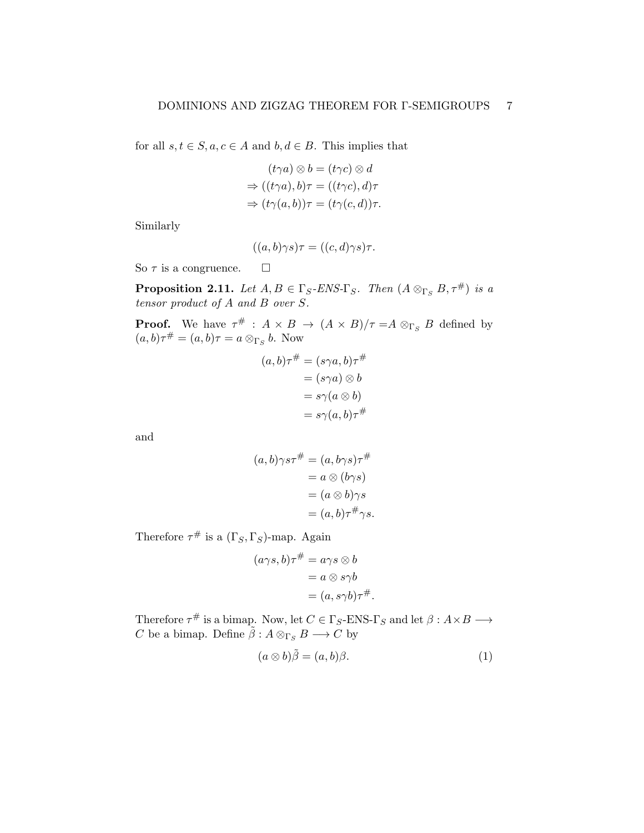for all  $s, t \in S, a, c \in A$  and  $b, d \in B$ . This implies that

$$
(t\gamma a) \otimes b = (t\gamma c) \otimes d
$$
  
\n
$$
\Rightarrow ((t\gamma a), b)\tau = ((t\gamma c), d)\tau
$$
  
\n
$$
\Rightarrow (t\gamma(a, b))\tau = (t\gamma(c, d))\tau.
$$

Similarly

$$
((a,b)\gamma s)\tau = ((c,d)\gamma s)\tau.
$$

So  $\tau$  is a congruence.  $\square$ 

<span id="page-6-0"></span>**Proposition 2.11.** Let  $A, B \in \Gamma_S$ -ENS- $\Gamma_S$ . Then  $(A \otimes_{\Gamma_S} B, \tau^{\#})$  is a tensor product of A and B over S.

**Proof.** We have  $\tau^{\#}$  :  $A \times B \to (A \times B)/\tau = A \otimes_{\Gamma_S} B$  defined by  $(a, b)\tau^{\#} = (a, b)\tau = a \otimes_{\Gamma_S} b$ . Now

$$
(a,b)\tau^{\#} = (s\gamma a,b)\tau^{\#}
$$

$$
= (s\gamma a) \otimes b
$$

$$
= s\gamma(a \otimes b)
$$

$$
= s\gamma(a,b)\tau^{\#}
$$

and

$$
(a,b)\gamma s\tau^{\#} = (a,b\gamma s)\tau^{\#}
$$
  
=  $a \otimes (b\gamma s)$   
=  $(a \otimes b)\gamma s$   
=  $(a,b)\tau^{\#}\gamma s$ .

Therefore  $\tau^{\#}$  is a  $(\Gamma_S, \Gamma_S)$ -map. Again

$$
(a\gamma s, b)\tau^{\#} = a\gamma s \otimes b
$$
  
=  $a \otimes s\gamma b$   
=  $(a, s\gamma b)\tau^{\#}$ .

Therefore  $\tau^{\#}$  is a bimap. Now, let  $C \in \Gamma_S$ -ENS- $\Gamma_S$  and let  $\beta: A \times B \longrightarrow$  $C$  be a bimap. Define  $\tilde{\beta}: A \otimes_{\Gamma_S} B \longrightarrow C$  by

$$
(a \otimes b)\tilde{\beta} = (a, b)\beta. \tag{1}
$$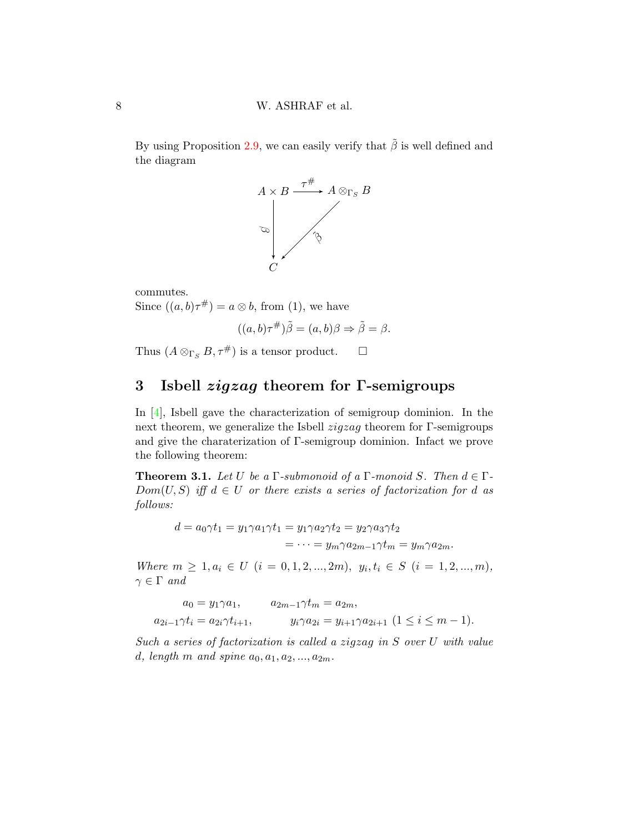By using Proposition [2.9,](#page-4-0) we can easily verify that  $\tilde{\beta}$  is well defined and the diagram



commutes. Since  $((a, b)\tau^{\#}) = a \otimes b$ , from (1), we have

$$
((a,b)\tau^{\#})\tilde{\beta} = (a,b)\beta \Rightarrow \tilde{\beta} = \beta.
$$

Thus  $(A \otimes_{\Gamma_S} B, \tau^{\#})$  is a tensor product.  $\square$ 

# 3 Isbell zigzag theorem for Γ-semigroups

In [\[4\]](#page-11-1), Isbell gave the characterization of semigroup dominion. In the next theorem, we generalize the Isbell  $zigzag$  theorem for  $\Gamma$ -semigroups and give the charaterization of Γ-semigroup dominion. Infact we prove the following theorem:

**Theorem 3.1.** Let U be a  $\Gamma$ -submonoid of a  $\Gamma$ -monoid S. Then  $d \in \Gamma$ - $Dom(U, S)$  iff  $d \in U$  or there exists a series of factorization for d as follows:

$$
d = a_0 \gamma t_1 = y_1 \gamma a_1 \gamma t_1 = y_1 \gamma a_2 \gamma t_2 = y_2 \gamma a_3 \gamma t_2
$$
  
= 
$$
\cdots = y_m \gamma a_{2m-1} \gamma t_m = y_m \gamma a_{2m}.
$$

Where  $m \geq 1, a_i \in U$   $(i = 0, 1, 2, ..., 2m), y_i, t_i \in S$   $(i = 1, 2, ..., m),$  $\gamma \in \Gamma$  and

$$
a_0 = y_1 \gamma a_1, \qquad a_{2m-1} \gamma t_m = a_{2m},
$$
  

$$
a_{2i-1} \gamma t_i = a_{2i} \gamma t_{i+1}, \qquad y_i \gamma a_{2i} = y_{i+1} \gamma a_{2i+1} \ (1 \le i \le m-1).
$$

Such a series of factorization is called a zigzag in S over U with value d, length m and spine  $a_0, a_1, a_2, ..., a_{2m}$ .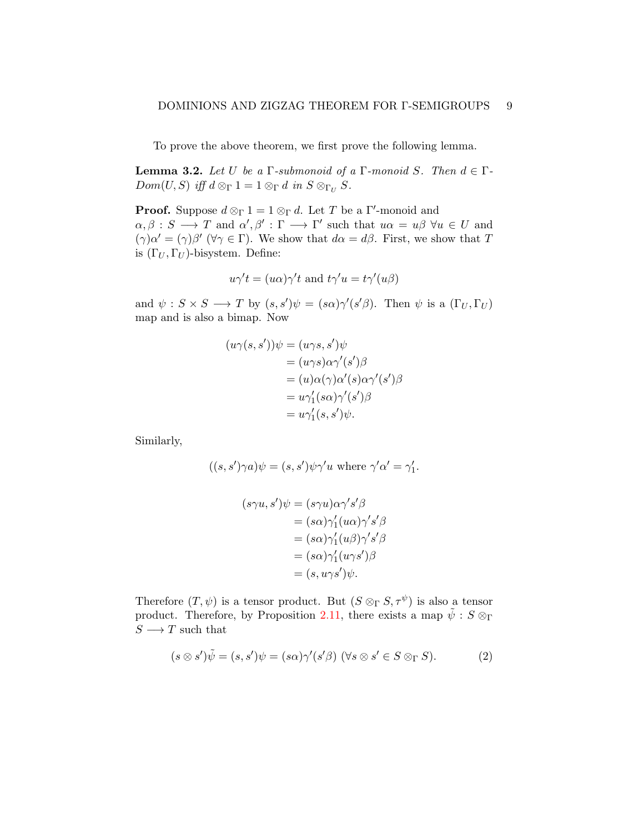To prove the above theorem, we first prove the following lemma.

**Lemma 3.2.** Let U be a  $\Gamma$ -submonoid of a  $\Gamma$ -monoid S. Then  $d \in \Gamma$ - $Dom(U, S)$  iff  $d \otimes_{\Gamma} 1 = 1 \otimes_{\Gamma} d$  in  $S \otimes_{\Gamma_U} S$ .

**Proof.** Suppose  $d \otimes_{\Gamma} 1 = 1 \otimes_{\Gamma} d$ . Let T be a Γ'-monoid and  $\alpha, \beta : S \longrightarrow T$  and  $\alpha', \beta' : \Gamma \longrightarrow \Gamma'$  such that  $u\alpha = u\beta \,\forall u \in U$  and  $(\gamma) \alpha' = (\gamma) \beta'$  ( $\forall \gamma \in \Gamma$ ). We show that  $d\alpha = d\beta$ . First, we show that T is  $(\Gamma_U, \Gamma_U)$ -bisystem. Define:

$$
u\gamma' t = (u\alpha)\gamma' t
$$
 and  $t\gamma' u = t\gamma'(u\beta)$ 

and  $\psi: S \times S \longrightarrow T$  by  $(s, s')\psi = (s\alpha)\gamma'(s'\beta)$ . Then  $\psi$  is a  $(\Gamma_U, \Gamma_U)$ map and is also a bimap. Now

$$
(u\gamma(s,s'))\psi = (u\gamma s, s')\psi
$$
  
=  $(u\gamma s)\alpha\gamma'(s')\beta$   
=  $(u)\alpha(\gamma)\alpha'(s)\alpha\gamma'(s')\beta$   
=  $u\gamma'_1(s\alpha)\gamma'(s')\beta$   
=  $u\gamma'_1(s,s')\psi$ .

Similarly,

$$
((s, s')\gamma a)\psi = (s, s')\psi\gamma' u \text{ where } \gamma'\alpha' = \gamma_1'.
$$

$$
(s\gamma u, s')\psi = (s\gamma u)\alpha\gamma's'\beta
$$
  
=  $(s\alpha)\gamma'_1(u\alpha)\gamma's'\beta$   
=  $(s\alpha)\gamma'_1(u\beta)\gamma's'\beta$   
=  $(s\alpha)\gamma'_1(u\gamma s')\beta$   
=  $(s, u\gamma s')\psi$ .

Therefore  $(T, \psi)$  is a tensor product. But  $(S \otimes_{\Gamma} S, \tau^{\psi})$  is also a tensor product. Therefore, by Proposition [2.11,](#page-6-0) there exists a map  $\tilde{\psi}$  :  $S \otimes_{\Gamma}$  $S\longrightarrow T$  such that

$$
(s \otimes s')\tilde{\psi} = (s, s')\psi = (s\alpha)\gamma'(s'\beta) \; (\forall s \otimes s' \in S \otimes_{\Gamma} S). \tag{2}
$$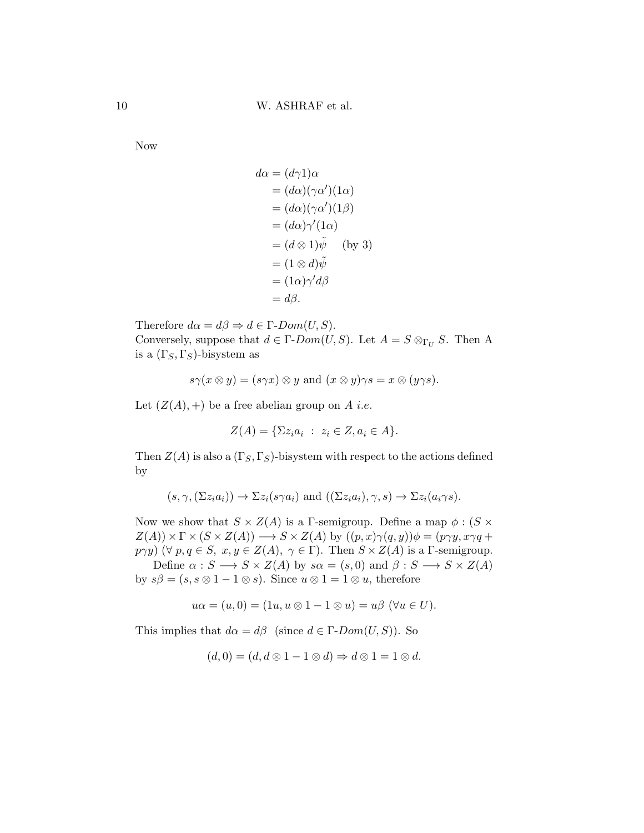Now

$$
d\alpha = (d\gamma 1)\alpha
$$
  
=  $(d\alpha)(\gamma\alpha')(1\alpha)$   
=  $(d\alpha)(\gamma\alpha')(1\beta)$   
=  $(d\alpha)\gamma'(1\alpha)$   
=  $(d \otimes 1)\tilde{\psi}$  (by 3)  
=  $(1 \otimes d)\tilde{\psi}$   
=  $(1\alpha)\gamma'd\beta$   
=  $d\beta$ .

Therefore  $d\alpha = d\beta \Rightarrow d \in \Gamma\text{-}Dom(U, S)$ . Conversely, suppose that  $d \in \Gamma\text{-}Dom(U, S)$ . Let  $A = S \otimes_{\Gamma_U} S$ . Then A is a  $(\Gamma_S, \Gamma_S)$ -bisystem as

$$
s\gamma(x\otimes y) = (s\gamma x)\otimes y
$$
 and  $(x\otimes y)\gamma s = x\otimes (y\gamma s)$ .

Let  $(Z(A),+)$  be a free abelian group on A *i.e.* 

$$
Z(A) = \{ \Sigma z_i a_i : z_i \in Z, a_i \in A \}.
$$

Then  $Z(A)$  is also a  $(\Gamma_S, \Gamma_S)$ -bisystem with respect to the actions defined by

$$
(s, \gamma, (\Sigma z_i a_i)) \to \Sigma z_i (s \gamma a_i)
$$
 and  $((\Sigma z_i a_i), \gamma, s) \to \Sigma z_i (a_i \gamma s)$ .

Now we show that  $S \times Z(A)$  is a Γ-semigroup. Define a map  $\phi : (S \times$  $Z(A)) \times \Gamma \times (S \times Z(A)) \longrightarrow S \times Z(A)$  by  $((p, x) \gamma(q, y)) \phi = (p \gamma y, x \gamma q +$  $p\gamma y$ ) ( $\forall p, q \in S$ ,  $x, y \in Z(A)$ ,  $\gamma \in \Gamma$ ). Then  $S \times Z(A)$  is a  $\Gamma$ -semigroup.

Define  $\alpha : S \longrightarrow S \times Z(A)$  by  $s\alpha = (s, 0)$  and  $\beta : S \longrightarrow S \times Z(A)$ by  $s\beta = (s, s \otimes 1 - 1 \otimes s)$ . Since  $u \otimes 1 = 1 \otimes u$ , therefore

$$
u\alpha = (u,0) = (1u, u \otimes 1 - 1 \otimes u) = u\beta \; (\forall u \in U).
$$

This implies that  $d\alpha = d\beta$  (since  $d \in \Gamma\text{-}Dom(U, S)$ ). So

$$
(d,0)=(d,d\otimes 1-1\otimes d)\Rightarrow d\otimes 1=1\otimes d.
$$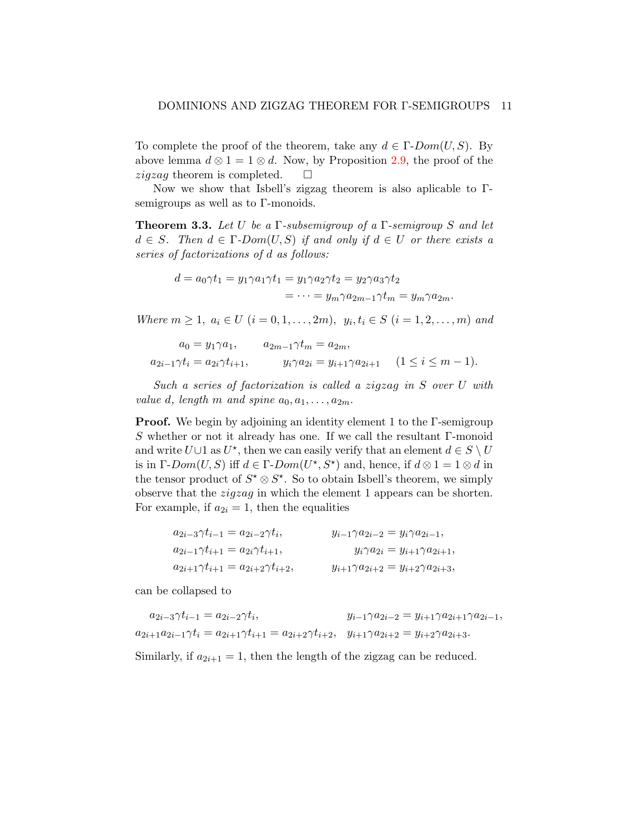To complete the proof of the theorem, take any  $d \in \Gamma\text{-}Dom(U, S)$ . By above lemma  $d \otimes 1 = 1 \otimes d$ . Now, by Proposition [2.9,](#page-4-0) the proof of the *ziqzaq* theorem is completed.  $\square$ 

Now we show that Isbell's zigzag theorem is also aplicable to Γsemigroups as well as to Γ-monoids.

**Theorem 3.3.** Let U be a  $\Gamma$ -subsemigroup of a  $\Gamma$ -semigroup S and let  $d \in S$ . Then  $d \in \Gamma$ -Dom $(U, S)$  if and only if  $d \in U$  or there exists a series of factorizations of d as follows:

$$
d = a_0 \gamma t_1 = y_1 \gamma a_1 \gamma t_1 = y_1 \gamma a_2 \gamma t_2 = y_2 \gamma a_3 \gamma t_2
$$
  
= 
$$
\cdots = y_m \gamma a_{2m-1} \gamma t_m = y_m \gamma a_{2m}.
$$

Where  $m \ge 1$ ,  $a_i \in U$   $(i = 0, 1, ..., 2m)$ ,  $y_i, t_i \in S$   $(i = 1, 2, ..., m)$  and

$$
a_0 = y_1 \gamma a_1, \qquad a_{2m-1} \gamma t_m = a_{2m},
$$
  

$$
a_{2i-1} \gamma t_i = a_{2i} \gamma t_{i+1}, \qquad y_i \gamma a_{2i} = y_{i+1} \gamma a_{2i+1} \qquad (1 \le i \le m-1).
$$

Such a series of factorization is called a zigzag in S over U with value d, length m and spine  $a_0, a_1, \ldots, a_{2m}$ .

Proof. We begin by adjoining an identity element 1 to the Γ-semigroup S whether or not it already has one. If we call the resultant Γ-monoid and write  $U \cup 1$  as  $U^*$ , then we can easily verify that an element  $d \in S \setminus U$ is in  $\Gamma\text{-}Dom(U, S)$  iff  $d \in \Gamma\text{-}Dom(U^{\star}, S^{\star})$  and, hence, if  $d \otimes 1 = 1 \otimes d$  in the tensor product of  $S^* \otimes S^*$ . So to obtain Isbell's theorem, we simply observe that the zigzag in which the element 1 appears can be shorten. For example, if  $a_{2i} = 1$ , then the equalities

| $a_{2i-3}\gamma t_{i-1} = a_{2i-2}\gamma t_i,$     | $y_{i-1}\gamma a_{2i-2} = y_i\gamma a_{2i-1},$     |
|----------------------------------------------------|----------------------------------------------------|
| $a_{2i-1}\gamma t_{i+1} = a_{2i}\gamma t_{i+1},$   | $y_i \gamma a_{2i} = y_{i+1} \gamma a_{2i+1},$     |
| $a_{2i+1}\gamma t_{i+1} = a_{2i+2}\gamma t_{i+2},$ | $y_{i+1}\gamma a_{2i+2} = y_{i+2}\gamma a_{2i+3},$ |

can be collapsed to

$$
a_{2i-3}\gamma t_{i-1} = a_{2i-2}\gamma t_i, \qquad y_{i-1}\gamma a_{2i-2} = y_{i+1}\gamma a_{2i+1}\gamma a_{2i-1},
$$
  

$$
a_{2i+1}a_{2i-1}\gamma t_i = a_{2i+1}\gamma t_{i+1} = a_{2i+2}\gamma t_{i+2}, \quad y_{i+1}\gamma a_{2i+2} = y_{i+2}\gamma a_{2i+3}.
$$

Similarly, if  $a_{2i+1} = 1$ , then the length of the zigzag can be reduced.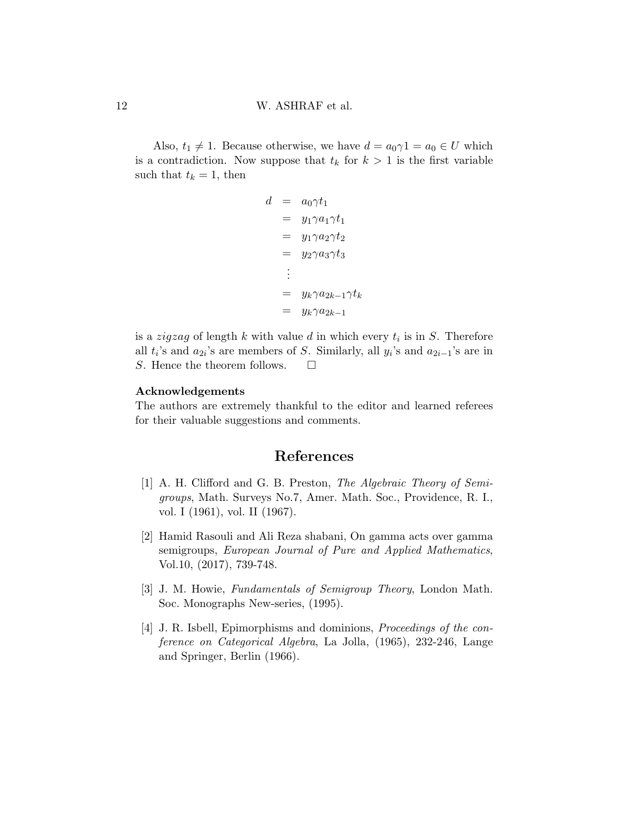Also,  $t_1 \neq 1$ . Because otherwise, we have  $d = a_0 \gamma 1 = a_0 \in U$  which is a contradiction. Now suppose that  $t_k$  for  $k > 1$  is the first variable such that  $t_k = 1$ , then

$$
d = a_0 \gamma t_1
$$
  
=  $y_1 \gamma a_1 \gamma t_1$   
=  $y_1 \gamma a_2 \gamma t_2$   
=  $y_2 \gamma a_3 \gamma t_3$   
:  
=  $y_k \gamma a_{2k-1} \gamma t_k$   
=  $y_k \gamma a_{2k-1}$ 

is a *zigzag* of length  $k$  with value  $d$  in which every  $t_i$  is in  $S$ . Therefore all  $t_i$ 's and  $a_{2i}$ 's are members of S. Similarly, all  $y_i$ 's and  $a_{2i-1}$ 's are in S. Hence the theorem follows.  $\Box$ 

### Acknowledgements

The authors are extremely thankful to the editor and learned referees for their valuable suggestions and comments.

## References

- <span id="page-11-3"></span>[1] A. H. Clifford and G. B. Preston, The Algebraic Theory of Semigroups, Math. Surveys No.7, Amer. Math. Soc., Providence, R. I., vol. I (1961), vol. II (1967).
- <span id="page-11-0"></span>[2] Hamid Rasouli and Ali Reza shabani, On gamma acts over gamma semigroups, European Journal of Pure and Applied Mathematics, Vol.10, (2017), 739-748.
- <span id="page-11-2"></span>[3] J. M. Howie, Fundamentals of Semigroup Theory, London Math. Soc. Monographs New-series, (1995).
- <span id="page-11-1"></span>[4] J. R. Isbell, Epimorphisms and dominions, Proceedings of the conference on Categorical Algebra, La Jolla, (1965), 232-246, Lange and Springer, Berlin (1966).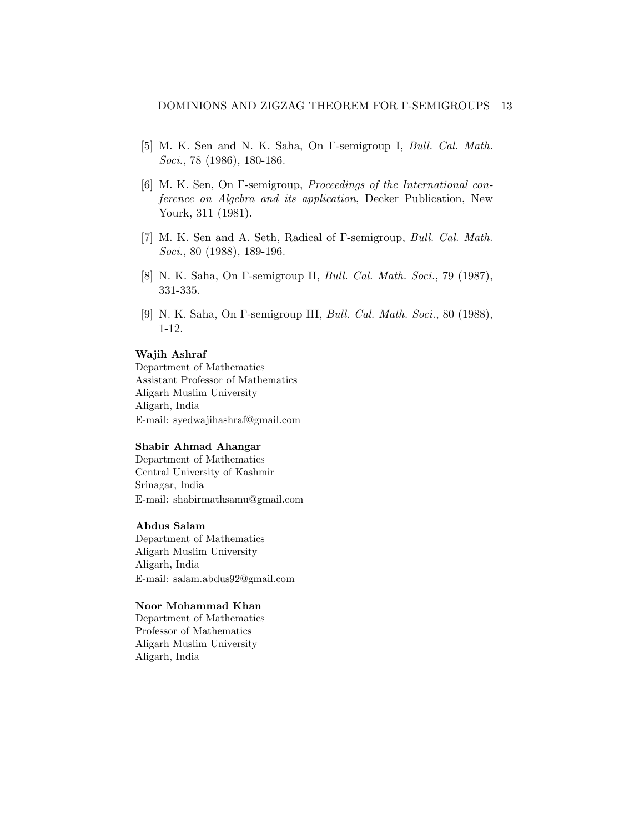- <span id="page-12-1"></span>[5] M. K. Sen and N. K. Saha, On  $\Gamma$ -semigroup I, *Bull. Cal. Math.* Soci., 78 (1986), 180-186.
- <span id="page-12-0"></span>[6] M. K. Sen, On Γ-semigroup, Proceedings of the International conference on Algebra and its application, Decker Publication, New Yourk, 311 (1981).
- <span id="page-12-4"></span>[7] M. K. Sen and A. Seth, Radical of Γ-semigroup, Bull. Cal. Math. Soci., 80 (1988), 189-196.
- <span id="page-12-2"></span>[8] N. K. Saha, On Γ-semigroup II, Bull. Cal. Math. Soci., 79 (1987), 331-335.
- <span id="page-12-3"></span>[9] N. K. Saha, On Γ-semigroup III, Bull. Cal. Math. Soci., 80 (1988), 1-12.

#### Wajih Ashraf

Department of Mathematics Assistant Professor of Mathematics Aligarh Muslim University Aligarh, India E-mail: syedwajihashraf@gmail.com

#### Shabir Ahmad Ahangar

Department of Mathematics Central University of Kashmir Srinagar, India E-mail: shabirmathsamu@gmail.com

### Abdus Salam

Department of Mathematics Aligarh Muslim University Aligarh, India E-mail: salam.abdus92@gmail.com

#### Noor Mohammad Khan

Department of Mathematics Professor of Mathematics Aligarh Muslim University Aligarh, India